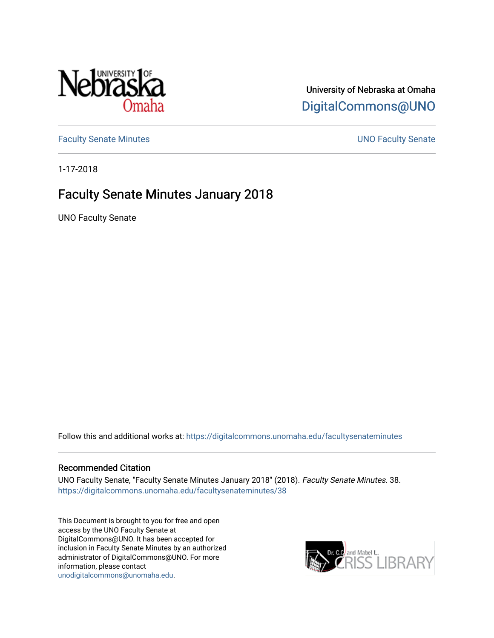

# University of Nebraska at Omaha [DigitalCommons@UNO](https://digitalcommons.unomaha.edu/)

[Faculty Senate Minutes](https://digitalcommons.unomaha.edu/facultysenateminutes) **Example 2018** UNO Faculty Senate

1-17-2018

# Faculty Senate Minutes January 2018

UNO Faculty Senate

Follow this and additional works at: [https://digitalcommons.unomaha.edu/facultysenateminutes](https://digitalcommons.unomaha.edu/facultysenateminutes?utm_source=digitalcommons.unomaha.edu%2Ffacultysenateminutes%2F38&utm_medium=PDF&utm_campaign=PDFCoverPages) 

#### Recommended Citation

UNO Faculty Senate, "Faculty Senate Minutes January 2018" (2018). Faculty Senate Minutes. 38. [https://digitalcommons.unomaha.edu/facultysenateminutes/38](https://digitalcommons.unomaha.edu/facultysenateminutes/38?utm_source=digitalcommons.unomaha.edu%2Ffacultysenateminutes%2F38&utm_medium=PDF&utm_campaign=PDFCoverPages) 

This Document is brought to you for free and open access by the UNO Faculty Senate at DigitalCommons@UNO. It has been accepted for inclusion in Faculty Senate Minutes by an authorized administrator of DigitalCommons@UNO. For more information, please contact [unodigitalcommons@unomaha.edu.](mailto:unodigitalcommons@unomaha.edu)

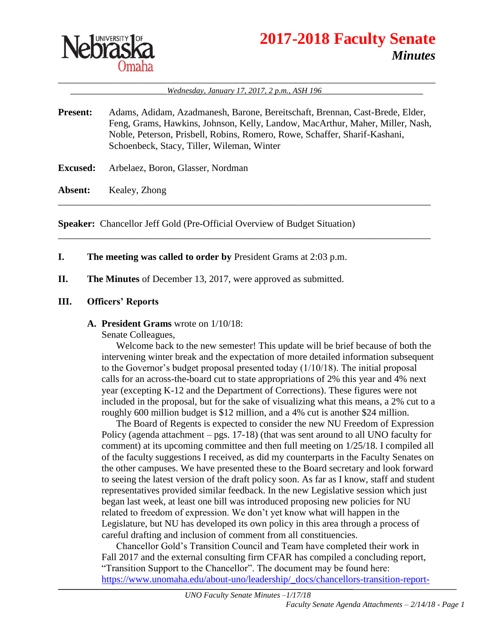

# **2017-2018 Faculty Senate** *Minutes*

\_\_\_\_\_\_\_\_\_\_\_\_\_\_\_\_\_\_\_\_\_\_\_\_\_\_\_\_\_\_\_\_\_\_\_\_\_\_\_\_\_\_\_\_\_\_\_\_\_\_\_\_\_\_\_\_\_\_\_\_\_\_\_\_\_\_\_\_\_\_\_\_\_\_\_\_\_\_ Wednesday, January 17, 2017, 2 p.m., ASH 196

**Present:** Adams, Adidam, Azadmanesh, Barone, Bereitschaft, Brennan, Cast-Brede, Elder, Feng, Grams, Hawkins, Johnson, Kelly, Landow, MacArthur, Maher, Miller, Nash, Noble, Peterson, Prisbell, Robins, Romero, Rowe, Schaffer, Sharif-Kashani, Schoenbeck, Stacy, Tiller, Wileman, Winter

\_\_\_\_\_\_\_\_\_\_\_\_\_\_\_\_\_\_\_\_\_\_\_\_\_\_\_\_\_\_\_\_\_\_\_\_\_\_\_\_\_\_\_\_\_\_\_\_\_\_\_\_\_\_\_\_\_\_\_\_\_\_\_\_\_\_\_\_\_\_\_\_\_\_\_\_\_

\_\_\_\_\_\_\_\_\_\_\_\_\_\_\_\_\_\_\_\_\_\_\_\_\_\_\_\_\_\_\_\_\_\_\_\_\_\_\_\_\_\_\_\_\_\_\_\_\_\_\_\_\_\_\_\_\_\_\_\_\_\_\_\_\_\_\_\_\_\_\_\_\_\_\_\_\_

**Excused:** Arbelaez, Boron, Glasser, Nordman

**Absent:** Kealey, Zhong

**Speaker:** Chancellor Jeff Gold (Pre-Official Overview of Budget Situation)

- **I. The meeting was called to order by** President Grams at 2:03 p.m.
- **II. The Minutes** of December 13, 2017, were approved as submitted.

#### **III. Officers' Reports**

**A. President Grams** wrote on 1/10/18:

Senate Colleagues,

Welcome back to the new semester! This update will be brief because of both the intervening winter break and the expectation of more detailed information subsequent to the Governor's budget proposal presented today (1/10/18). The initial proposal calls for an across-the-board cut to state appropriations of 2% this year and 4% next year (excepting K-12 and the Department of Corrections). These figures were not included in the proposal, but for the sake of visualizing what this means, a 2% cut to a roughly 600 million budget is \$12 million, and a 4% cut is another \$24 million.

The Board of Regents is expected to consider the new NU Freedom of Expression Policy (agenda attachment – pgs. 17-18) (that was sent around to all UNO faculty for comment) at its upcoming committee and then full meeting on 1/25/18. I compiled all of the faculty suggestions I received, as did my counterparts in the Faculty Senates on the other campuses. We have presented these to the Board secretary and look forward to seeing the latest version of the draft policy soon. As far as I know, staff and student representatives provided similar feedback. In the new Legislative session which just began last week, at least one bill was introduced proposing new policies for NU related to freedom of expression. We don't yet know what will happen in the Legislature, but NU has developed its own policy in this area through a process of careful drafting and inclusion of comment from all constituencies.

Chancellor Gold's Transition Council and Team have completed their work in Fall 2017 and the external consulting firm CFAR has compiled a concluding report, "Transition Support to the Chancellor". The document may be found here: [https://www.unomaha.edu/about-uno/leadership/\\_docs/chancellors-transition-report-](https://www.unomaha.edu/about-uno/leadership/_docs/chancellors-transition-report-121217-final.pdf)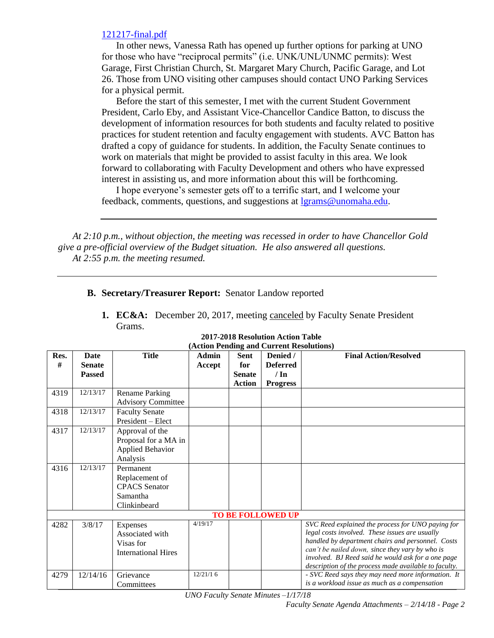#### [121217-final.pdf](https://www.unomaha.edu/about-uno/leadership/_docs/chancellors-transition-report-121217-final.pdf)

In other news, Vanessa Rath has opened up further options for parking at UNO for those who have "reciprocal permits" (i.e. UNK/UNL/UNMC permits): West Garage, First Christian Church, St. Margaret Mary Church, Pacific Garage, and Lot 26. Those from UNO visiting other campuses should contact UNO Parking Services for a physical permit.

Before the start of this semester, I met with the current Student Government President, Carlo Eby, and Assistant Vice-Chancellor Candice Batton, to discuss the development of information resources for both students and faculty related to positive practices for student retention and faculty engagement with students. AVC Batton has drafted a copy of guidance for students. In addition, the Faculty Senate continues to work on materials that might be provided to assist faculty in this area. We look forward to collaborating with Faculty Development and others who have expressed interest in assisting us, and more information about this will be forthcoming.

I hope everyone's semester gets off to a terrific start, and I welcome your feedback, comments, questions, and suggestions at [lgrams@unomaha.edu.](mailto:lgrams@unomaha.edu)

*At 2:10 p.m., without objection, the meeting was recessed in order to have Chancellor Gold give a pre-official overview of the Budget situation. He also answered all questions. At 2:55 p.m. the meeting resumed.*

#### **B. Secretary/Treasurer Report:** Senator Landow reported

**1. EC&A:** December 20, 2017, meeting canceled by Faculty Senate President Grams.

| Res. | <b>Date</b>   | <b>Title</b>               | Admin    | Sent          | $(A\cup B)$ is changed to call the resolutions (<br>Denied / | <b>Final Action/Resolved</b>                          |
|------|---------------|----------------------------|----------|---------------|--------------------------------------------------------------|-------------------------------------------------------|
| #    | <b>Senate</b> |                            | Accept   | for           | <b>Deferred</b>                                              |                                                       |
|      | <b>Passed</b> |                            |          | <b>Senate</b> | $/ \ln$                                                      |                                                       |
|      |               |                            |          | <b>Action</b> | <b>Progress</b>                                              |                                                       |
| 4319 | 12/13/17      | <b>Rename Parking</b>      |          |               |                                                              |                                                       |
|      |               |                            |          |               |                                                              |                                                       |
|      |               | <b>Advisory Committee</b>  |          |               |                                                              |                                                       |
| 4318 | 12/13/17      | <b>Faculty Senate</b>      |          |               |                                                              |                                                       |
|      |               | President – Elect          |          |               |                                                              |                                                       |
| 4317 | 12/13/17      | Approval of the            |          |               |                                                              |                                                       |
|      |               | Proposal for a MA in       |          |               |                                                              |                                                       |
|      |               | <b>Applied Behavior</b>    |          |               |                                                              |                                                       |
|      |               | Analysis                   |          |               |                                                              |                                                       |
| 4316 | 12/13/17      | Permanent                  |          |               |                                                              |                                                       |
|      |               | Replacement of             |          |               |                                                              |                                                       |
|      |               | <b>CPACS</b> Senator       |          |               |                                                              |                                                       |
|      |               | Samantha                   |          |               |                                                              |                                                       |
|      |               | Clinkinbeard               |          |               |                                                              |                                                       |
|      |               |                            |          |               | <b>TO BE FOLLOWED UP</b>                                     |                                                       |
| 4282 | 3/8/17        | Expenses                   | 4/19/17  |               |                                                              | SVC Reed explained the process for UNO paying for     |
|      |               | Associated with            |          |               |                                                              | legal costs involved. These issues are usually        |
|      |               | Visas for                  |          |               |                                                              | handled by department chairs and personnel. Costs     |
|      |               | <b>International Hires</b> |          |               |                                                              | can't be nailed down, since they vary by who is       |
|      |               |                            |          |               |                                                              | involved. BJ Reed said he would ask for a one page    |
|      |               |                            |          |               |                                                              | description of the process made available to faculty. |
| 4279 | 12/14/16      | Grievance                  | 12/21/16 |               |                                                              | - SVC Reed says they may need more information. It    |
|      |               | Committees                 |          |               |                                                              | is a workload issue as much as a compensation         |

#### **2017-2018 Resolution Action Table (Action Pending and Current Resolutions)**

*UNO Faculty Senate Minutes –1/17/18*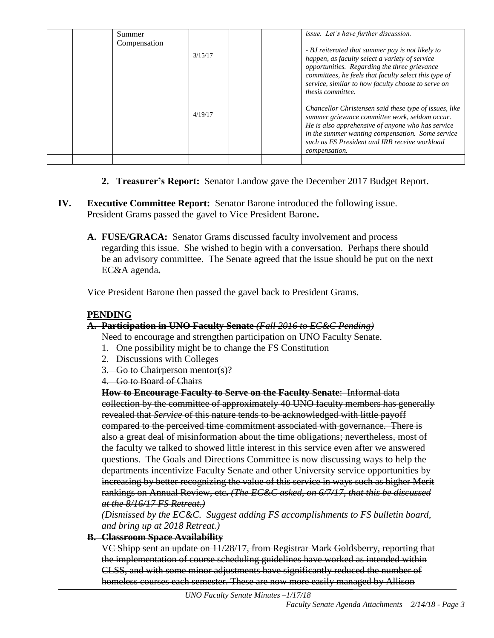|  | Summer       |         | issue. Let's have further discussion.                                                                                                                                                                                                                                                      |
|--|--------------|---------|--------------------------------------------------------------------------------------------------------------------------------------------------------------------------------------------------------------------------------------------------------------------------------------------|
|  | Compensation | 3/15/17 | - BJ reiterated that summer pay is not likely to<br>happen, as faculty select a variety of service<br>opportunities. Regarding the three grievance                                                                                                                                         |
|  |              |         | committees, he feels that faculty select this type of<br>service, similar to how faculty choose to serve on<br>thesis committee.                                                                                                                                                           |
|  |              | 4/19/17 | Chancellor Christensen said these type of issues, like<br>summer grievance committee work, seldom occur.<br>He is also apprehensive of anyone who has service<br>in the summer wanting compensation. Some service<br>such as FS President and IRB receive workload<br><i>compensation.</i> |
|  |              |         |                                                                                                                                                                                                                                                                                            |

- **2. Treasurer's Report:** Senator Landow gave the December 2017 Budget Report.
- **IV. Executive Committee Report:** Senator Barone introduced the following issue. President Grams passed the gavel to Vice President Barone**.** 
	- **A. FUSE/GRACA:** Senator Grams discussed faculty involvement and process regarding this issue. She wished to begin with a conversation. Perhaps there should be an advisory committee. The Senate agreed that the issue should be put on the next EC&A agenda**.**

Vice President Barone then passed the gavel back to President Grams.

### **PENDING**

### **A. Participation in UNO Faculty Senate** *(Fall 2016 to EC&C Pending)*

Need to encourage and strengthen participation on UNO Faculty Senate.

- 1. One possibility might be to change the FS Constitution
- 2. Discussions with Colleges
- 3. Go to Chairperson mentor(s)?
- 4. Go to Board of Chairs

**How to Encourage Faculty to Serve on the Faculty Senate**: Informal data collection by the committee of approximately 40 UNO faculty members has generally revealed that *Service* of this nature tends to be acknowledged with little payoff compared to the perceived time commitment associated with governance. There is also a great deal of misinformation about the time obligations; nevertheless, most of the faculty we talked to showed little interest in this service even after we answered questions. The Goals and Directions Committee is now discussing ways to help the departments incentivize Faculty Senate and other University service opportunities by increasing by better recognizing the value of this service in ways such as higher Merit rankings on Annual Review, etc**.** *(The EC&C asked, on 6/7/17, that this be discussed at the 8/16/17 FS Retreat.)*

*(Dismissed by the EC&C. Suggest adding FS accomplishments to FS bulletin board, and bring up at 2018 Retreat.)*

**B. Classroom Space Availability** 

VC Shipp sent an update on 11/28/17, from Registrar Mark Goldsberry, reporting that the implementation of course scheduling guidelines have worked as intended within CLSS, and with some minor adjustments have significantly reduced the number of homeless courses each semester. These are now more easily managed by Allison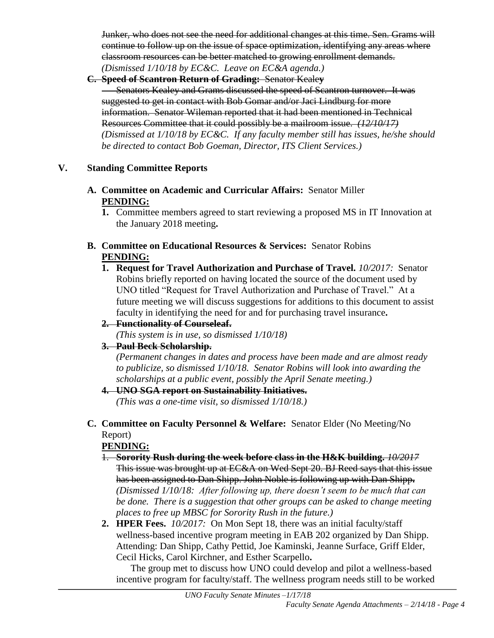Junker, who does not see the need for additional changes at this time. Sen. Grams will continue to follow up on the issue of space optimization, identifying any areas where classroom resources can be better matched to growing enrollment demands. *(Dismissed 1/10/18 by EC&C. Leave on EC&A agenda.)*

**C. Speed of Scantron Return of Grading:** Senator Keale**y Senators Kealey and Grams discussed the speed of Scantron turnover. It was** suggested to get in contact with Bob Gomar and/or Jaci Lindburg for more information. Senator Wileman reported that it had been mentioned in Technical Resources Committee that it could possibly be a mailroom issue. *(12/10/17) (Dismissed at 1/10/18 by EC&C. If any faculty member still has issues, he/she should be directed to contact Bob Goeman, Director, ITS Client Services.)*

### **V. Standing Committee Reports**

- **A. Committee on Academic and Curricular Affairs:** Senator Miller **PENDING:** 
	- **1.** Committee members agreed to start reviewing a proposed MS in IT Innovation at the January 2018 meeting**.**
- **B. Committee on Educational Resources & Services:** Senator Robins **PENDING:**
	- **1. Request for Travel Authorization and Purchase of Travel.** *10/2017:* Senator Robins briefly reported on having located the source of the document used by UNO titled "Request for Travel Authorization and Purchase of Travel." At a future meeting we will discuss suggestions for additions to this document to assist faculty in identifying the need for and for purchasing travel insurance**.**

## **2. Functionality of Courseleaf.**

*(This system is in use, so dismissed 1/10/18)*

## **3. Paul Beck Scholarship.**

*(Permanent changes in dates and process have been made and are almost ready to publicize, so dismissed 1/10/18. Senator Robins will look into awarding the scholarships at a public event, possibly the April Senate meeting.)*

## **4. UNO SGA report on Sustainability Initiatives.**

*(This was a one-time visit, so dismissed 1/10/18.)*

## **C. Committee on Faculty Personnel & Welfare:** Senator Elder (No Meeting/No Report)

## **PENDING:**

- 1. **Sorority Rush during the week before class in the H&K building.** *10/2017* This issue was brought up at EC&A on Wed Sept 20. BJ Reed says that this issue has been assigned to Dan Shipp. John Noble is following up with Dan Shipp**.** *(Dismissed 1/10/18: After following up, there doesn't seem to be much that can be done. There is a suggestion that other groups can be asked to change meeting places to free up MBSC for Sorority Rush in the future.)*
- **2. HPER Fees.** *10/2017:*On Mon Sept 18, there was an initial faculty/staff wellness-based incentive program meeting in EAB 202 organized by Dan Shipp. Attending: Dan Shipp, Cathy Pettid, Joe Kaminski, Jeanne Surface, Griff Elder, Cecil Hicks, Carol Kirchner, and Esther Scarpello**.**

The group met to discuss how UNO could develop and pilot a wellness-based incentive program for faculty/staff. The wellness program needs still to be worked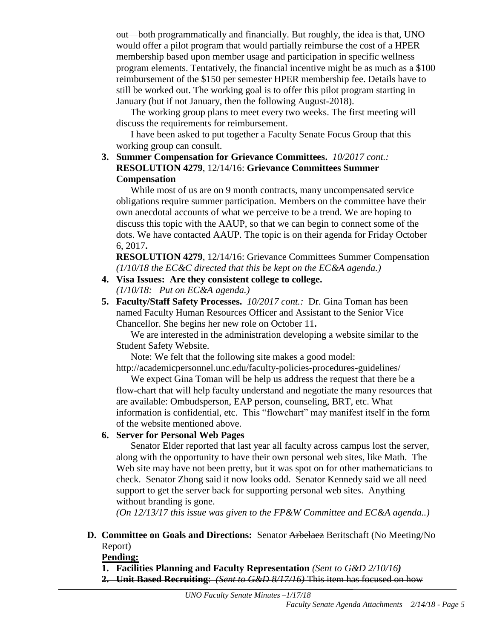out—both programmatically and financially. But roughly, the idea is that, UNO would offer a pilot program that would partially reimburse the cost of a HPER membership based upon member usage and participation in specific wellness program elements. Tentatively, the financial incentive might be as much as a \$100 reimbursement of the \$150 per semester HPER membership fee. Details have to still be worked out. The working goal is to offer this pilot program starting in January (but if not January, then the following August-2018).

The working group plans to meet every two weeks. The first meeting will discuss the requirements for reimbursement.

I have been asked to put together a Faculty Senate Focus Group that this working group can consult.

#### **3. Summer Compensation for Grievance Committees.** *10/2017 cont.:* **RESOLUTION 4279**, 12/14/16: **Grievance Committees Summer Compensation**

While most of us are on 9 month contracts, many uncompensated service obligations require summer participation. Members on the committee have their own anecdotal accounts of what we perceive to be a trend. We are hoping to discuss this topic with the AAUP, so that we can begin to connect some of the dots. We have contacted AAUP. The topic is on their agenda for Friday October 6, 2017**.**

**RESOLUTION 4279**, 12/14/16: Grievance Committees Summer Compensation *(1/10/18 the EC&C directed that this be kept on the EC&A agenda.)*

- **4. Visa Issues: Are they consistent college to college.** *(1/10/18: Put on EC&A agenda.)*
- **5. Faculty/Staff Safety Processes.** *10/2017 cont.:* Dr. Gina Toman has been named Faculty Human Resources Officer and Assistant to the Senior Vice Chancellor. She begins her new role on October 11**.**

We are interested in the administration developing a website similar to the Student Safety Website.

Note: We felt that the following site makes a good model:

http://academicpersonnel.unc.edu/faculty-policies-procedures-guidelines/

We expect Gina Toman will be help us address the request that there be a flow-chart that will help faculty understand and negotiate the many resources that are available: Ombudsperson, EAP person, counseling, BRT, etc. What information is confidential, etc. This "flowchart" may manifest itself in the form of the website mentioned above.

### **6. Server for Personal Web Pages**

Senator Elder reported that last year all faculty across campus lost the server, along with the opportunity to have their own personal web sites, like Math. The Web site may have not been pretty, but it was spot on for other mathematicians to check. Senator Zhong said it now looks odd. Senator Kennedy said we all need support to get the server back for supporting personal web sites. Anything without branding is gone.

*(On 12/13/17 this issue was given to the FP&W Committee and EC&A agenda..)*

**D. Committee on Goals and Directions:** Senator Arbelaez Beritschaft (No Meeting/No Report)

**Pending:**

- **1. Facilities Planning and Faculty Representation** *(Sent to G&D 2/10/16)*
- **2. Unit Based Recruiting**: *(Sent to G&D 8/17/16)* This item has focused on how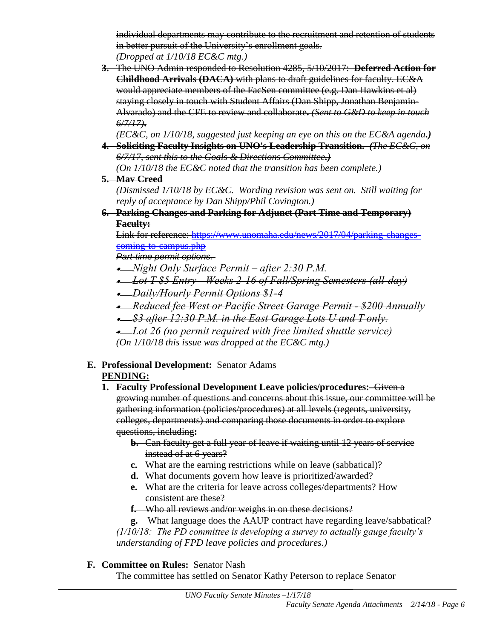individual departments may contribute to the recruitment and retention of students in better pursuit of the University's enrollment goals. *(Dropped at 1/10/18 EC&C mtg.)*

**3.** The UNO Admin responded to Resolution 4285, 5/10/2017: **Deferred Action for Childhood Arrivals (DACA)** with plans to draft guidelines for faculty. EC&A would appreciate members of the FacSen committee (e.g. Dan Hawkins et al) staying closely in touch with Student Affairs (Dan Shipp, Jonathan Benjamin-Alvarado) and the CFE to review and collaborate**.** *(Sent to G&D to keep in touch 6/7/17)***.**

*(EC&C, on 1/10/18, suggested just keeping an eye on this on the EC&A agenda.)* **4. Soliciting Faculty Insights on UNO's Leadership Transition.** *(The EC&C, on* 

*6/7/17, sent this to the Goals & Directions Committee.) (On 1/10/18 the EC&C noted that the transition has been complete.)*

**5. Mav Creed**

*(Dismissed 1/10/18 by EC&C. Wording revision was sent on. Still waiting for reply of acceptance by Dan Shipp/Phil Covington.)*

**6. Parking Changes and Parking for Adjunct (Part Time and Temporary) Faculty:**

Link for reference: [https://www.unomaha.edu/news/2017/04/parking-changes](https://www.unomaha.edu/news/2017/04/parking-changes-coming-to-campus.php)[coming-to-campus.php](https://www.unomaha.edu/news/2017/04/parking-changes-coming-to-campus.php)

*Part-time permit options.*

- *Night Only Surface Permit – after 2:30 P.M.*
- *Lot T \$5 Entry - Weeks 2-16 of Fall/Spring Semesters (all-day)*
- *Daily/Hourly Permit Options \$1-4*
- *Reduced fee West or Pacific Street Garage Permit - \$200 Annually*
- *\$3 after 12:30 P.M. in the East Garage Lots U and T only.*
- *Lot 26 (no permit required with free limited shuttle service) (On 1/10/18 this issue was dropped at the EC&C mtg.)*

# **E. Professional Development:** Senator Adams

## **PENDING:**

- **1. Faculty Professional Development Leave policies/procedures:** Given a growing number of questions and concerns about this issue, our committee will be gathering information (policies/procedures) at all levels (regents, university, colleges, departments) and comparing those documents in order to explore questions, including**:** 
	- **b.** Can faculty get a full year of leave if waiting until 12 years of service instead of at 6 years?
	- **c.** What are the earning restrictions while on leave (sabbatical)?
	- **d.** What documents govern how leave is prioritized/awarded?
	- **e.** What are the criteria for leave across colleges/departments? How consistent are these?
	- **f.** Who all reviews and/or weighs in on these decisions?

**g.** What language does the AAUP contract have regarding leave/sabbatical? *(1/10/18: The PD committee is developing a survey to actually gauge faculty's understanding of FPD leave policies and procedures.)*

## **F. Committee on Rules:** Senator Nash

The committee has settled on Senator Kathy Peterson to replace Senator